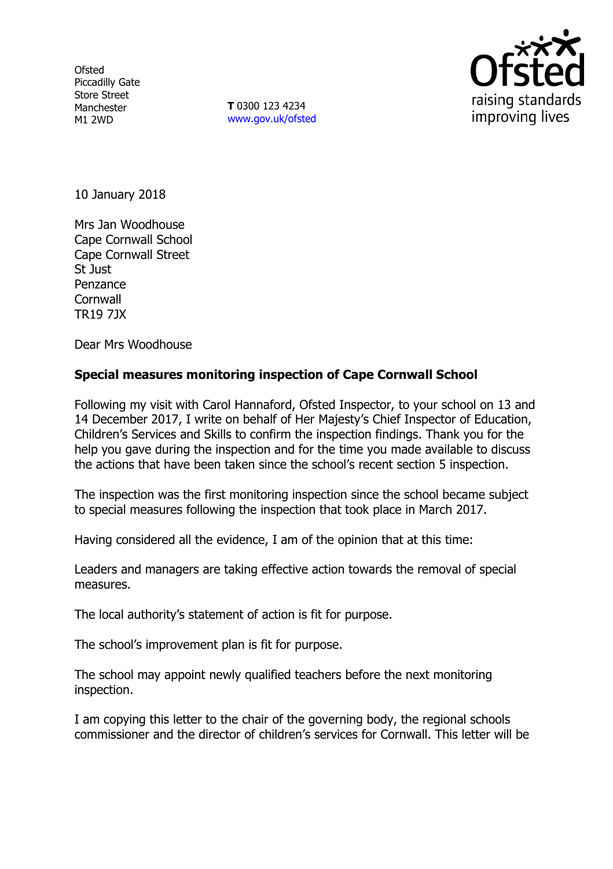**Ofsted** Piccadilly Gate Store Street Manchester M1 2WD

**T** 0300 123 4234 www.gov.uk/ofsted



10 January 2018

Mrs Jan Woodhouse Cape Cornwall School Cape Cornwall Street St Just Penzance **Cornwall** TR19 7JX

Dear Mrs Woodhouse

## **Special measures monitoring inspection of Cape Cornwall School**

Following my visit with Carol Hannaford, Ofsted Inspector, to your school on 13 and 14 December 2017, I write on behalf of Her Majesty's Chief Inspector of Education, Children's Services and Skills to confirm the inspection findings. Thank you for the help you gave during the inspection and for the time you made available to discuss the actions that have been taken since the school's recent section 5 inspection.

The inspection was the first monitoring inspection since the school became subject to special measures following the inspection that took place in March 2017.

Having considered all the evidence, I am of the opinion that at this time:

Leaders and managers are taking effective action towards the removal of special measures.

The local authority's statement of action is fit for purpose.

The school's improvement plan is fit for purpose.

The school may appoint newly qualified teachers before the next monitoring inspection.

I am copying this letter to the chair of the governing body, the regional schools commissioner and the director of children's services for Cornwall. This letter will be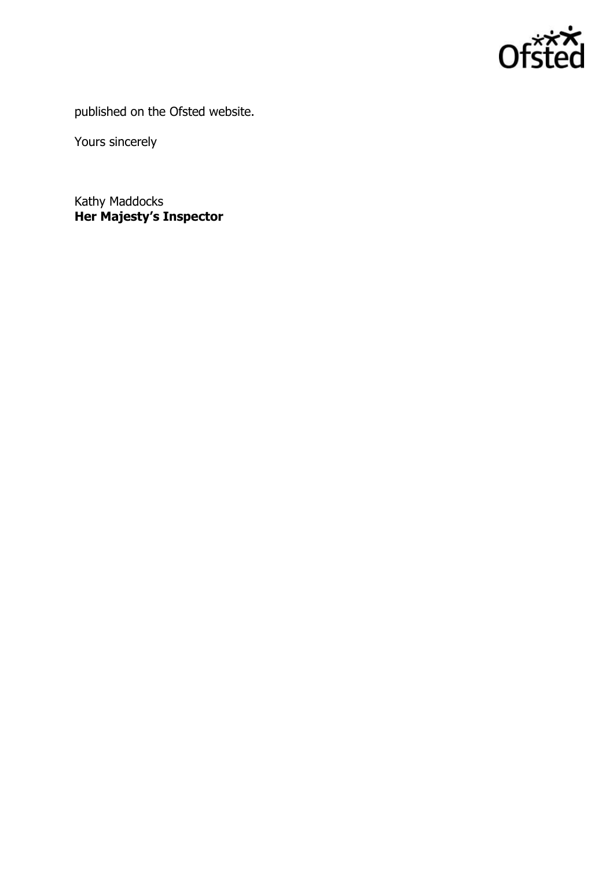

published on the Ofsted website.

Yours sincerely

Kathy Maddocks **Her Majesty's Inspector**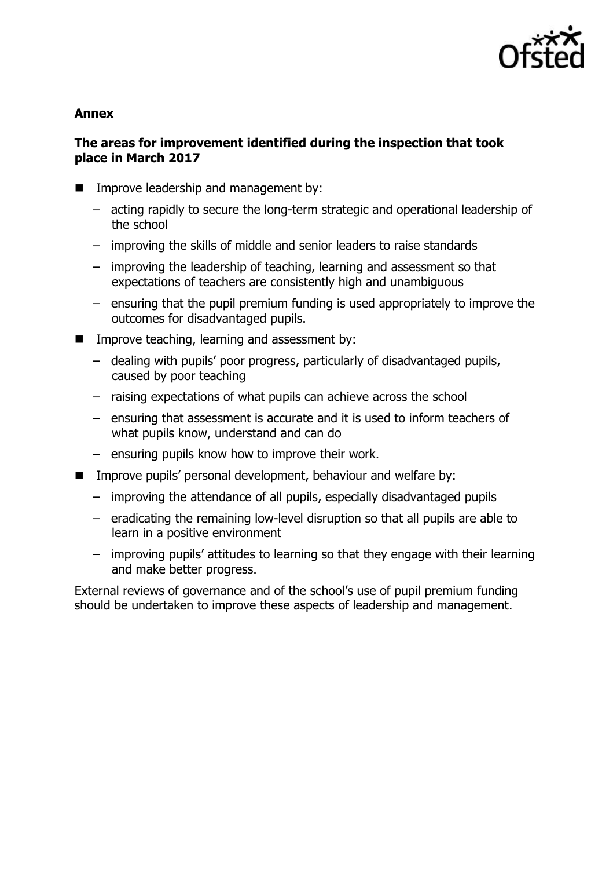

### **Annex**

# **The areas for improvement identified during the inspection that took place in March 2017**

- **IMPROVE leadership and management by:** 
	- acting rapidly to secure the long-term strategic and operational leadership of the school
	- improving the skills of middle and senior leaders to raise standards
	- improving the leadership of teaching, learning and assessment so that expectations of teachers are consistently high and unambiguous
	- ensuring that the pupil premium funding is used appropriately to improve the outcomes for disadvantaged pupils.
- Improve teaching, learning and assessment by:
	- dealing with pupils' poor progress, particularly of disadvantaged pupils, caused by poor teaching
	- raising expectations of what pupils can achieve across the school
	- ensuring that assessment is accurate and it is used to inform teachers of what pupils know, understand and can do
	- ensuring pupils know how to improve their work.
- **IMPROVE pupils' personal development, behaviour and welfare by:** 
	- improving the attendance of all pupils, especially disadvantaged pupils
	- eradicating the remaining low-level disruption so that all pupils are able to learn in a positive environment
	- improving pupils' attitudes to learning so that they engage with their learning and make better progress.

External reviews of governance and of the school's use of pupil premium funding should be undertaken to improve these aspects of leadership and management.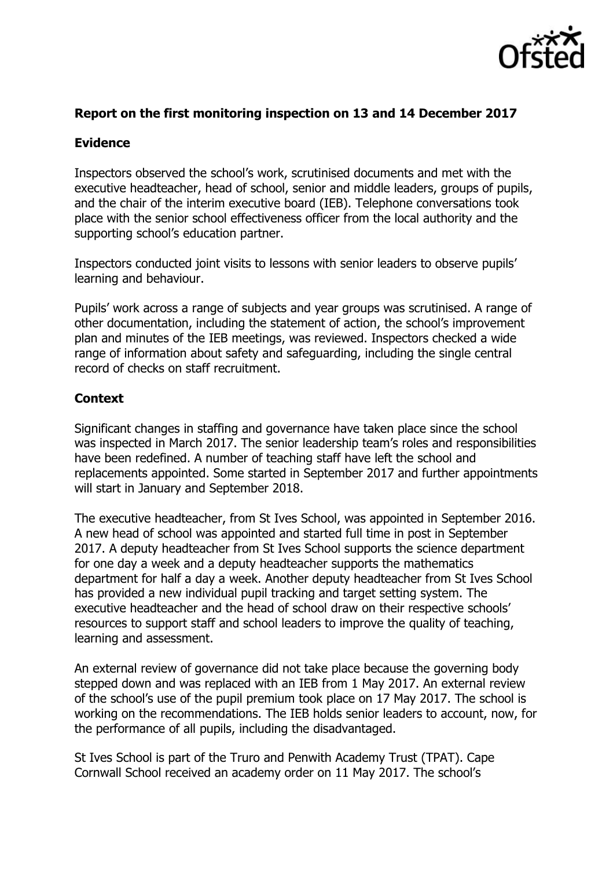

## **Report on the first monitoring inspection on 13 and 14 December 2017**

# **Evidence**

Inspectors observed the school's work, scrutinised documents and met with the executive headteacher, head of school, senior and middle leaders, groups of pupils, and the chair of the interim executive board (IEB). Telephone conversations took place with the senior school effectiveness officer from the local authority and the supporting school's education partner.

Inspectors conducted joint visits to lessons with senior leaders to observe pupils' learning and behaviour.

Pupils' work across a range of subjects and year groups was scrutinised. A range of other documentation, including the statement of action, the school's improvement plan and minutes of the IEB meetings, was reviewed. Inspectors checked a wide range of information about safety and safeguarding, including the single central record of checks on staff recruitment.

# **Context**

Significant changes in staffing and governance have taken place since the school was inspected in March 2017. The senior leadership team's roles and responsibilities have been redefined. A number of teaching staff have left the school and replacements appointed. Some started in September 2017 and further appointments will start in January and September 2018.

The executive headteacher, from St Ives School, was appointed in September 2016. A new head of school was appointed and started full time in post in September 2017. A deputy headteacher from St Ives School supports the science department for one day a week and a deputy headteacher supports the mathematics department for half a day a week. Another deputy headteacher from St Ives School has provided a new individual pupil tracking and target setting system. The executive headteacher and the head of school draw on their respective schools' resources to support staff and school leaders to improve the quality of teaching, learning and assessment.

An external review of governance did not take place because the governing body stepped down and was replaced with an IEB from 1 May 2017. An external review of the school's use of the pupil premium took place on 17 May 2017. The school is working on the recommendations. The IEB holds senior leaders to account, now, for the performance of all pupils, including the disadvantaged.

St Ives School is part of the Truro and Penwith Academy Trust (TPAT). Cape Cornwall School received an academy order on 11 May 2017. The school's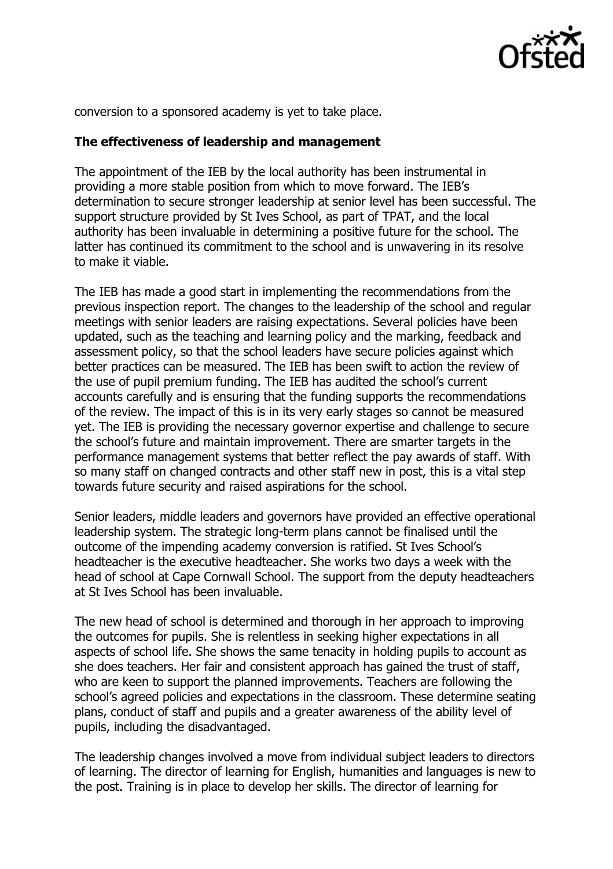

conversion to a sponsored academy is yet to take place.

#### **The effectiveness of leadership and management**

The appointment of the IEB by the local authority has been instrumental in providing a more stable position from which to move forward. The IEB's determination to secure stronger leadership at senior level has been successful. The support structure provided by St Ives School, as part of TPAT, and the local authority has been invaluable in determining a positive future for the school. The latter has continued its commitment to the school and is unwavering in its resolve to make it viable.

The IEB has made a good start in implementing the recommendations from the previous inspection report. The changes to the leadership of the school and regular meetings with senior leaders are raising expectations. Several policies have been updated, such as the teaching and learning policy and the marking, feedback and assessment policy, so that the school leaders have secure policies against which better practices can be measured. The IEB has been swift to action the review of the use of pupil premium funding. The IEB has audited the school's current accounts carefully and is ensuring that the funding supports the recommendations of the review. The impact of this is in its very early stages so cannot be measured yet. The IEB is providing the necessary governor expertise and challenge to secure the school's future and maintain improvement. There are smarter targets in the performance management systems that better reflect the pay awards of staff. With so many staff on changed contracts and other staff new in post, this is a vital step towards future security and raised aspirations for the school.

Senior leaders, middle leaders and governors have provided an effective operational leadership system. The strategic long-term plans cannot be finalised until the outcome of the impending academy conversion is ratified. St Ives School's headteacher is the executive headteacher. She works two days a week with the head of school at Cape Cornwall School. The support from the deputy headteachers at St Ives School has been invaluable.

The new head of school is determined and thorough in her approach to improving the outcomes for pupils. She is relentless in seeking higher expectations in all aspects of school life. She shows the same tenacity in holding pupils to account as she does teachers. Her fair and consistent approach has gained the trust of staff, who are keen to support the planned improvements. Teachers are following the school's agreed policies and expectations in the classroom. These determine seating plans, conduct of staff and pupils and a greater awareness of the ability level of pupils, including the disadvantaged.

The leadership changes involved a move from individual subject leaders to directors of learning. The director of learning for English, humanities and languages is new to the post. Training is in place to develop her skills. The director of learning for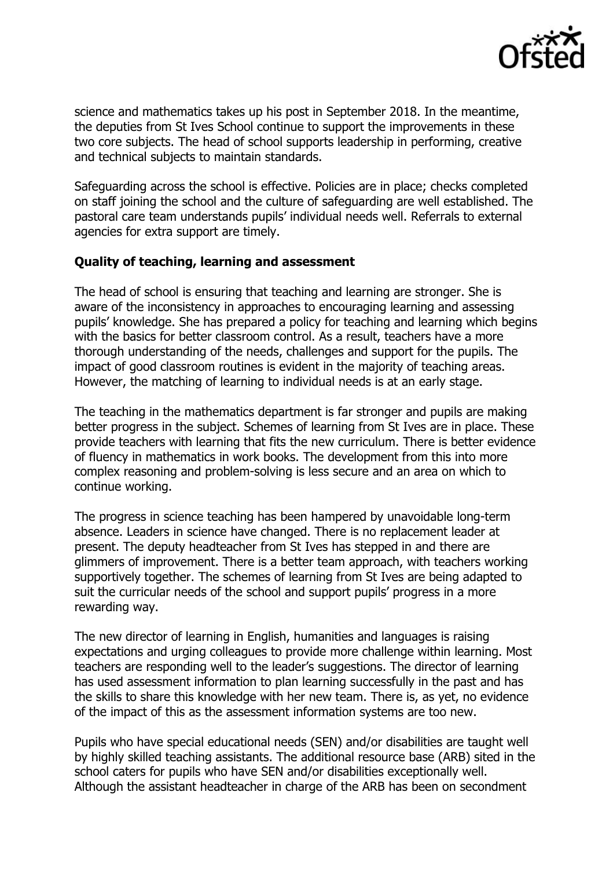

science and mathematics takes up his post in September 2018. In the meantime, the deputies from St Ives School continue to support the improvements in these two core subjects. The head of school supports leadership in performing, creative and technical subjects to maintain standards.

Safeguarding across the school is effective. Policies are in place; checks completed on staff joining the school and the culture of safeguarding are well established. The pastoral care team understands pupils' individual needs well. Referrals to external agencies for extra support are timely.

#### **Quality of teaching, learning and assessment**

The head of school is ensuring that teaching and learning are stronger. She is aware of the inconsistency in approaches to encouraging learning and assessing pupils' knowledge. She has prepared a policy for teaching and learning which begins with the basics for better classroom control. As a result, teachers have a more thorough understanding of the needs, challenges and support for the pupils. The impact of good classroom routines is evident in the majority of teaching areas. However, the matching of learning to individual needs is at an early stage.

The teaching in the mathematics department is far stronger and pupils are making better progress in the subject. Schemes of learning from St Ives are in place. These provide teachers with learning that fits the new curriculum. There is better evidence of fluency in mathematics in work books. The development from this into more complex reasoning and problem-solving is less secure and an area on which to continue working.

The progress in science teaching has been hampered by unavoidable long-term absence. Leaders in science have changed. There is no replacement leader at present. The deputy headteacher from St Ives has stepped in and there are glimmers of improvement. There is a better team approach, with teachers working supportively together. The schemes of learning from St Ives are being adapted to suit the curricular needs of the school and support pupils' progress in a more rewarding way.

The new director of learning in English, humanities and languages is raising expectations and urging colleagues to provide more challenge within learning. Most teachers are responding well to the leader's suggestions. The director of learning has used assessment information to plan learning successfully in the past and has the skills to share this knowledge with her new team. There is, as yet, no evidence of the impact of this as the assessment information systems are too new.

Pupils who have special educational needs (SEN) and/or disabilities are taught well by highly skilled teaching assistants. The additional resource base (ARB) sited in the school caters for pupils who have SEN and/or disabilities exceptionally well. Although the assistant headteacher in charge of the ARB has been on secondment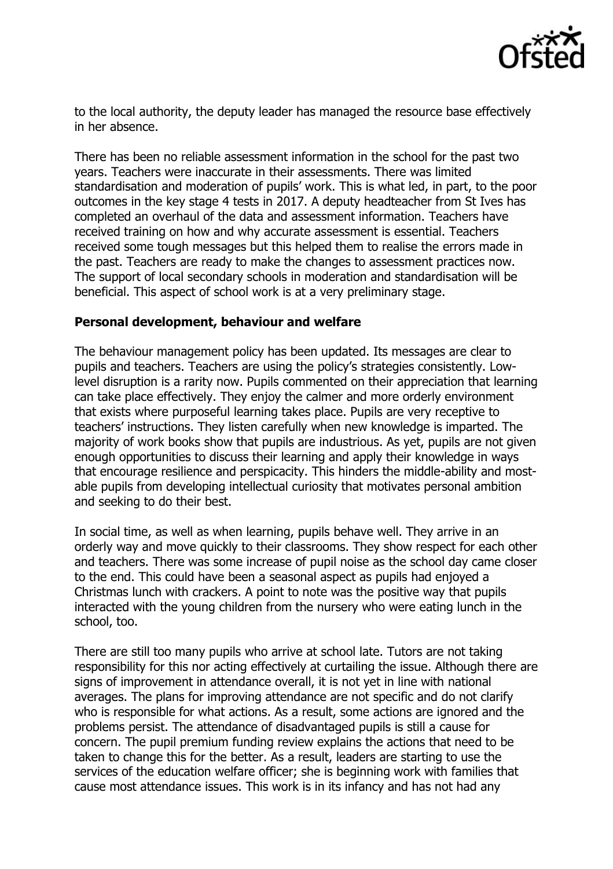

to the local authority, the deputy leader has managed the resource base effectively in her absence.

There has been no reliable assessment information in the school for the past two years. Teachers were inaccurate in their assessments. There was limited standardisation and moderation of pupils' work. This is what led, in part, to the poor outcomes in the key stage 4 tests in 2017. A deputy headteacher from St Ives has completed an overhaul of the data and assessment information. Teachers have received training on how and why accurate assessment is essential. Teachers received some tough messages but this helped them to realise the errors made in the past. Teachers are ready to make the changes to assessment practices now. The support of local secondary schools in moderation and standardisation will be beneficial. This aspect of school work is at a very preliminary stage.

#### **Personal development, behaviour and welfare**

The behaviour management policy has been updated. Its messages are clear to pupils and teachers. Teachers are using the policy's strategies consistently. Lowlevel disruption is a rarity now. Pupils commented on their appreciation that learning can take place effectively. They enjoy the calmer and more orderly environment that exists where purposeful learning takes place. Pupils are very receptive to teachers' instructions. They listen carefully when new knowledge is imparted. The majority of work books show that pupils are industrious. As yet, pupils are not given enough opportunities to discuss their learning and apply their knowledge in ways that encourage resilience and perspicacity. This hinders the middle-ability and mostable pupils from developing intellectual curiosity that motivates personal ambition and seeking to do their best.

In social time, as well as when learning, pupils behave well. They arrive in an orderly way and move quickly to their classrooms. They show respect for each other and teachers. There was some increase of pupil noise as the school day came closer to the end. This could have been a seasonal aspect as pupils had enjoyed a Christmas lunch with crackers. A point to note was the positive way that pupils interacted with the young children from the nursery who were eating lunch in the school, too.

There are still too many pupils who arrive at school late. Tutors are not taking responsibility for this nor acting effectively at curtailing the issue. Although there are signs of improvement in attendance overall, it is not yet in line with national averages. The plans for improving attendance are not specific and do not clarify who is responsible for what actions. As a result, some actions are ignored and the problems persist. The attendance of disadvantaged pupils is still a cause for concern. The pupil premium funding review explains the actions that need to be taken to change this for the better. As a result, leaders are starting to use the services of the education welfare officer; she is beginning work with families that cause most attendance issues. This work is in its infancy and has not had any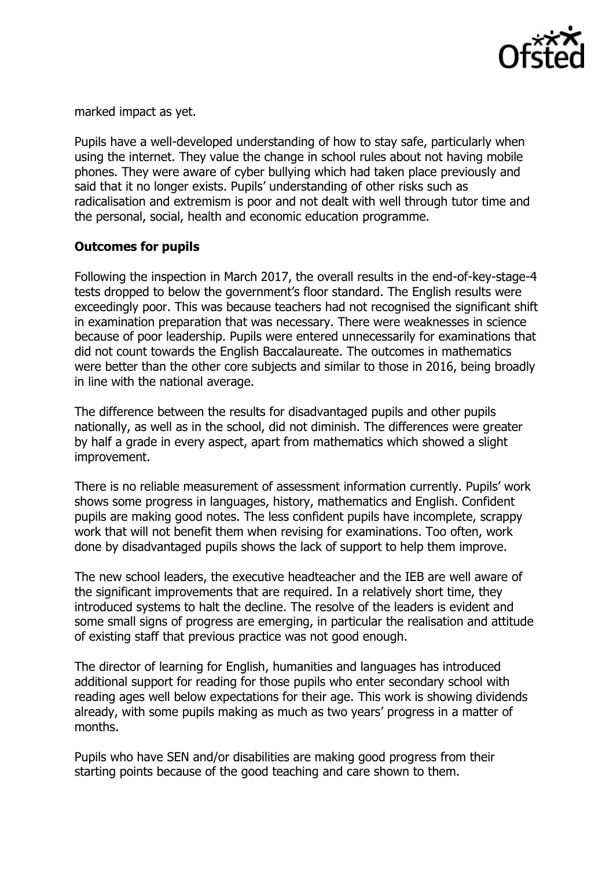

marked impact as yet.

Pupils have a well-developed understanding of how to stay safe, particularly when using the internet. They value the change in school rules about not having mobile phones. They were aware of cyber bullying which had taken place previously and said that it no longer exists. Pupils' understanding of other risks such as radicalisation and extremism is poor and not dealt with well through tutor time and the personal, social, health and economic education programme.

# **Outcomes for pupils**

Following the inspection in March 2017, the overall results in the end-of-key-stage-4 tests dropped to below the government's floor standard. The English results were exceedingly poor. This was because teachers had not recognised the significant shift in examination preparation that was necessary. There were weaknesses in science because of poor leadership. Pupils were entered unnecessarily for examinations that did not count towards the English Baccalaureate. The outcomes in mathematics were better than the other core subjects and similar to those in 2016, being broadly in line with the national average.

The difference between the results for disadvantaged pupils and other pupils nationally, as well as in the school, did not diminish. The differences were greater by half a grade in every aspect, apart from mathematics which showed a slight improvement.

There is no reliable measurement of assessment information currently. Pupils' work shows some progress in languages, history, mathematics and English. Confident pupils are making good notes. The less confident pupils have incomplete, scrappy work that will not benefit them when revising for examinations. Too often, work done by disadvantaged pupils shows the lack of support to help them improve.

The new school leaders, the executive headteacher and the IEB are well aware of the significant improvements that are required. In a relatively short time, they introduced systems to halt the decline. The resolve of the leaders is evident and some small signs of progress are emerging, in particular the realisation and attitude of existing staff that previous practice was not good enough.

The director of learning for English, humanities and languages has introduced additional support for reading for those pupils who enter secondary school with reading ages well below expectations for their age. This work is showing dividends already, with some pupils making as much as two years' progress in a matter of months.

Pupils who have SEN and/or disabilities are making good progress from their starting points because of the good teaching and care shown to them.